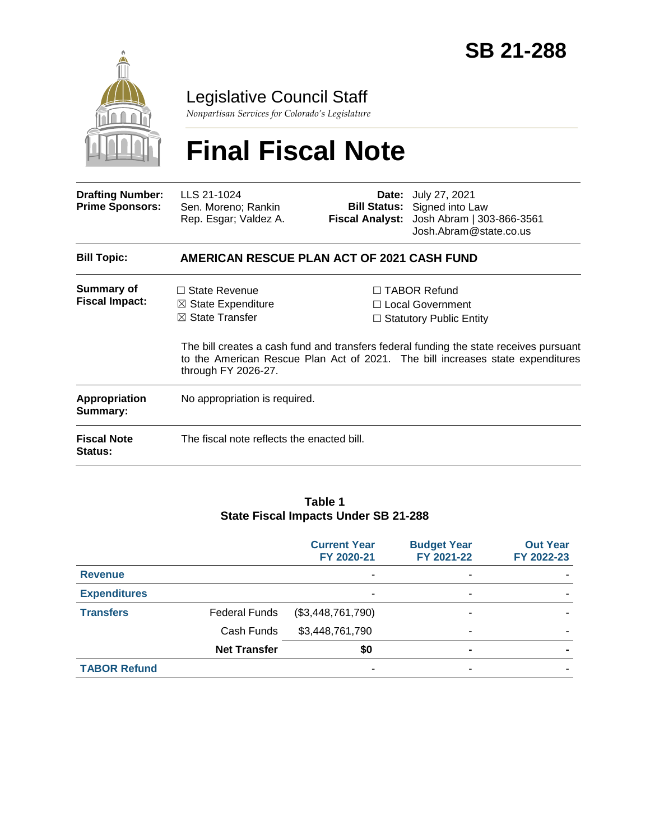

Legislative Council Staff

*Nonpartisan Services for Colorado's Legislature*

# **Final Fiscal Note**

| <b>Drafting Number:</b><br><b>Prime Sponsors:</b> | LLS 21-1024<br>Sen. Moreno; Rankin<br>Rep. Esgar; Valdez A.                                                |  | <b>Date:</b> July 27, 2021<br><b>Bill Status:</b> Signed into Law<br>Fiscal Analyst: Josh Abram   303-866-3561<br>Josh.Abram@state.co.us                                                                                                                     |  |  |
|---------------------------------------------------|------------------------------------------------------------------------------------------------------------|--|--------------------------------------------------------------------------------------------------------------------------------------------------------------------------------------------------------------------------------------------------------------|--|--|
| <b>Bill Topic:</b>                                | AMERICAN RESCUE PLAN ACT OF 2021 CASH FUND                                                                 |  |                                                                                                                                                                                                                                                              |  |  |
| Summary of<br><b>Fiscal Impact:</b>               | $\Box$ State Revenue<br>$\boxtimes$ State Expenditure<br>$\boxtimes$ State Transfer<br>through FY 2026-27. |  | $\Box$ TABOR Refund<br>$\Box$ Local Government<br>$\Box$ Statutory Public Entity<br>The bill creates a cash fund and transfers federal funding the state receives pursuant<br>to the American Rescue Plan Act of 2021. The bill increases state expenditures |  |  |
| Appropriation<br>Summary:                         | No appropriation is required.                                                                              |  |                                                                                                                                                                                                                                                              |  |  |
| <b>Fiscal Note</b><br><b>Status:</b>              | The fiscal note reflects the enacted bill.                                                                 |  |                                                                                                                                                                                                                                                              |  |  |

#### **Table 1 State Fiscal Impacts Under SB 21-288**

|                     |                      | <b>Current Year</b><br>FY 2020-21 | <b>Budget Year</b><br>FY 2021-22 | <b>Out Year</b><br>FY 2022-23 |
|---------------------|----------------------|-----------------------------------|----------------------------------|-------------------------------|
| <b>Revenue</b>      |                      |                                   | ۰                                |                               |
| <b>Expenditures</b> |                      |                                   | ۰                                |                               |
| <b>Transfers</b>    | <b>Federal Funds</b> | (\$3,448,761,790)                 |                                  |                               |
|                     | Cash Funds           | \$3,448,761,790                   | -                                |                               |
|                     | <b>Net Transfer</b>  | \$0                               | $\blacksquare$                   |                               |
| <b>TABOR Refund</b> |                      | ٠                                 | -                                |                               |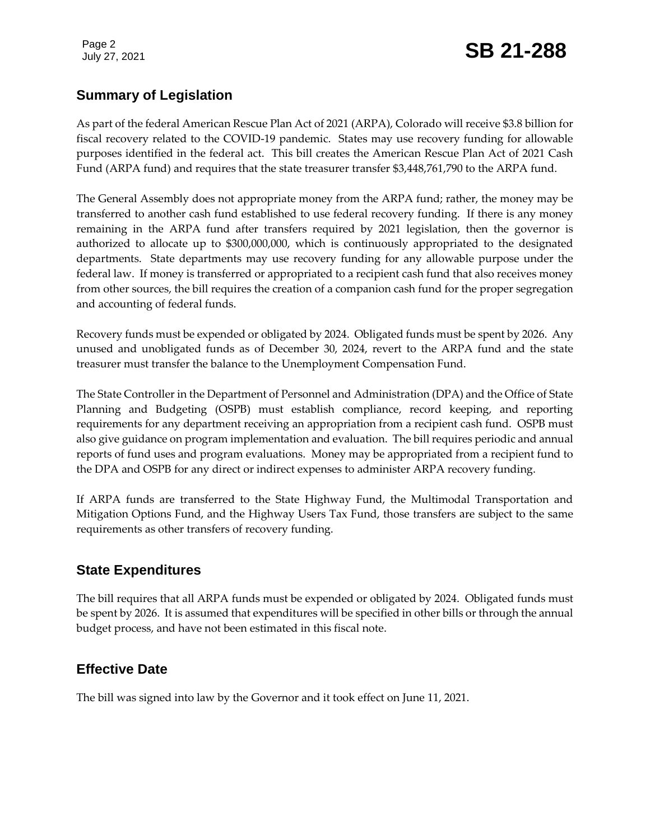## July 27, 2021 **SB 21-288**

#### **Summary of Legislation**

As part of the federal American Rescue Plan Act of 2021 (ARPA), Colorado will receive \$3.8 billion for fiscal recovery related to the COVID-19 pandemic. States may use recovery funding for allowable purposes identified in the federal act. This bill creates the American Rescue Plan Act of 2021 Cash Fund (ARPA fund) and requires that the state treasurer transfer \$3,448,761,790 to the ARPA fund.

The General Assembly does not appropriate money from the ARPA fund; rather, the money may be transferred to another cash fund established to use federal recovery funding. If there is any money remaining in the ARPA fund after transfers required by 2021 legislation, then the governor is authorized to allocate up to \$300,000,000, which is continuously appropriated to the designated departments. State departments may use recovery funding for any allowable purpose under the federal law. If money is transferred or appropriated to a recipient cash fund that also receives money from other sources, the bill requires the creation of a companion cash fund for the proper segregation and accounting of federal funds.

Recovery funds must be expended or obligated by 2024. Obligated funds must be spent by 2026. Any unused and unobligated funds as of December 30, 2024, revert to the ARPA fund and the state treasurer must transfer the balance to the Unemployment Compensation Fund.

The State Controller in the Department of Personnel and Administration (DPA) and the Office of State Planning and Budgeting (OSPB) must establish compliance, record keeping, and reporting requirements for any department receiving an appropriation from a recipient cash fund. OSPB must also give guidance on program implementation and evaluation. The bill requires periodic and annual reports of fund uses and program evaluations. Money may be appropriated from a recipient fund to the DPA and OSPB for any direct or indirect expenses to administer ARPA recovery funding.

If ARPA funds are transferred to the State Highway Fund, the Multimodal Transportation and Mitigation Options Fund, and the Highway Users Tax Fund, those transfers are subject to the same requirements as other transfers of recovery funding.

#### **State Expenditures**

The bill requires that all ARPA funds must be expended or obligated by 2024. Obligated funds must be spent by 2026. It is assumed that expenditures will be specified in other bills or through the annual budget process, and have not been estimated in this fiscal note.

### **Effective Date**

The bill was signed into law by the Governor and it took effect on June 11, 2021.